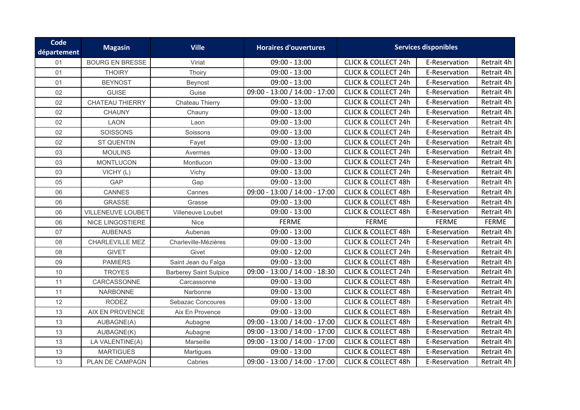| Code<br>département | <b>Magasin</b>           | <b>Ville</b>                  | <b>Horaires d'ouvertures</b>  |                                | <b>Services disponibles</b> |              |
|---------------------|--------------------------|-------------------------------|-------------------------------|--------------------------------|-----------------------------|--------------|
| 01                  | <b>BOURG EN BRESSE</b>   | Viriat                        | $09:00 - 13:00$               | <b>CLICK &amp; COLLECT 24h</b> | E-Reservation               | Retrait 4h   |
| 01                  | <b>THOIRY</b>            | Thoiry                        | $09:00 - 13:00$               | <b>CLICK &amp; COLLECT 24h</b> | E-Reservation               | Retrait 4h   |
| 01                  | <b>BEYNOST</b>           | Beynost                       | $09:00 - 13:00$               | <b>CLICK &amp; COLLECT 24h</b> | E-Reservation               | Retrait 4h   |
| 02                  | <b>GUISE</b>             | Guise                         | 09:00 - 13:00 / 14:00 - 17:00 | <b>CLICK &amp; COLLECT 24h</b> | E-Reservation               | Retrait 4h   |
| 02                  | <b>CHATEAU THIERRY</b>   | Chateau Thierry               | $09:00 - 13:00$               | <b>CLICK &amp; COLLECT 24h</b> | E-Reservation               | Retrait 4h   |
| 02                  | <b>CHAUNY</b>            | Chauny                        | $09:00 - 13:00$               | <b>CLICK &amp; COLLECT 24h</b> | E-Reservation               | Retrait 4h   |
| 02                  | <b>LAON</b>              | Laon                          | $09:00 - 13:00$               | <b>CLICK &amp; COLLECT 24h</b> | E-Reservation               | Retrait 4h   |
| 02                  | <b>SOISSONS</b>          | Soissons                      | $09:00 - 13:00$               | <b>CLICK &amp; COLLECT 24h</b> | E-Reservation               | Retrait 4h   |
| 02                  | ST QUENTIN               | Fayet                         | $09:00 - 13:00$               | <b>CLICK &amp; COLLECT 24h</b> | E-Reservation               | Retrait 4h   |
| 03                  | <b>MOULINS</b>           | Avermes                       | $09:00 - 13:00$               | <b>CLICK &amp; COLLECT 24h</b> | E-Reservation               | Retrait 4h   |
| 03                  | <b>MONTLUCON</b>         | Montlucon                     | $09:00 - 13:00$               | <b>CLICK &amp; COLLECT 24h</b> | E-Reservation               | Retrait 4h   |
| 03                  | VICHY (L)                | Vichy                         | $09:00 - 13:00$               | <b>CLICK &amp; COLLECT 24h</b> | E-Reservation               | Retrait 4h   |
| 05                  | <b>GAP</b>               | Gap                           | $09:00 - 13:00$               | <b>CLICK &amp; COLLECT 48h</b> | E-Reservation               | Retrait 4h   |
| 06                  | CANNES                   | Cannes                        | 09:00 - 13:00 / 14:00 - 17:00 | <b>CLICK &amp; COLLECT 48h</b> | E-Reservation               | Retrait 4h   |
| 06                  | <b>GRASSE</b>            | Grasse                        | $09:00 - 13:00$               | <b>CLICK &amp; COLLECT 48h</b> | E-Reservation               | Retrait 4h   |
| 06                  | <b>VILLENEUVE LOUBET</b> | Villeneuve Loubet             | $09:00 - 13:00$               | <b>CLICK &amp; COLLECT 48h</b> | E-Reservation               | Retrait 4h   |
| 06                  | NICE LINGOSTIERE         | Nice                          | <b>FERME</b>                  | <b>FERME</b>                   | <b>FERME</b>                | <b>FERME</b> |
| 07                  | <b>AUBENAS</b>           | Aubenas                       | $09:00 - 13:00$               | <b>CLICK &amp; COLLECT 48h</b> | E-Reservation               | Retrait 4h   |
| 08                  | CHARLEVILLE MEZ          | Charleville-Mézières          | $09:00 - 13:00$               | <b>CLICK &amp; COLLECT 24h</b> | E-Reservation               | Retrait 4h   |
| 08                  | <b>GIVET</b>             | Givet                         | $09:00 - 12:00$               | <b>CLICK &amp; COLLECT 24h</b> | E-Reservation               | Retrait 4h   |
| 09                  | <b>PAMIERS</b>           | Saint Jean du Falga           | $09:00 - 13:00$               | <b>CLICK &amp; COLLECT 48h</b> | E-Reservation               | Retrait 4h   |
| 10                  | <b>TROYES</b>            | <b>Barberey Saint Sulpice</b> | 09:00 - 13:00 / 14:00 - 18:30 | <b>CLICK &amp; COLLECT 24h</b> | E-Reservation               | Retrait 4h   |
| 11                  | CARCASSONNE              | Carcassonne                   | $09:00 - 13:00$               | <b>CLICK &amp; COLLECT 48h</b> | E-Reservation               | Retrait 4h   |
| 11                  | <b>NARBONNE</b>          | Narbonne                      | $09:00 - 13:00$               | <b>CLICK &amp; COLLECT 48h</b> | E-Reservation               | Retrait 4h   |
| 12                  | <b>RODEZ</b>             | Sebazac Concoures             | $09:00 - 13:00$               | <b>CLICK &amp; COLLECT 48h</b> | E-Reservation               | Retrait 4h   |
| 13                  | AIX EN PROVENCE          | Aix En Provence               | $09:00 - 13:00$               | <b>CLICK &amp; COLLECT 48h</b> | E-Reservation               | Retrait 4h   |
| 13                  | AUBAGNE(A)               | Aubagne                       | 09:00 - 13:00 / 14:00 - 17:00 | <b>CLICK &amp; COLLECT 48h</b> | E-Reservation               | Retrait 4h   |
| 13                  | AUBAGNE(K)               | Aubagne                       | 09:00 - 13:00 / 14:00 - 17:00 | <b>CLICK &amp; COLLECT 48h</b> | E-Reservation               | Retrait 4h   |
| 13                  | LA VALENTINE(A)          | Marseille                     | 09:00 - 13:00 / 14:00 - 17:00 | <b>CLICK &amp; COLLECT 48h</b> | E-Reservation               | Retrait 4h   |
| 13                  | <b>MARTIGUES</b>         | Martigues                     | $09:00 - 13:00$               | <b>CLICK &amp; COLLECT 48h</b> | E-Reservation               | Retrait 4h   |
| 13                  | PLAN DE CAMPAGN          | Cabries                       | 09:00 - 13:00 / 14:00 - 17:00 | <b>CLICK &amp; COLLECT 48h</b> | E-Reservation               | Retrait 4h   |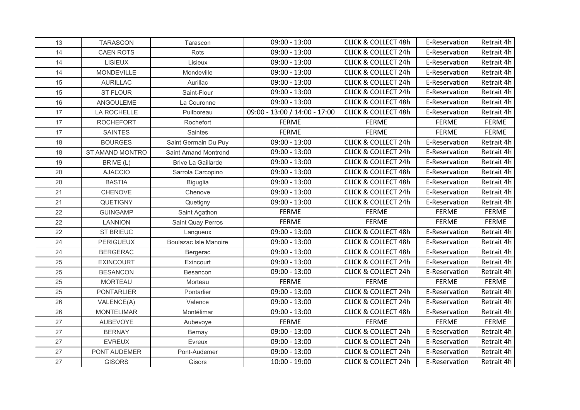| 13 | <b>TARASCON</b>   | Tarascon                     | $09:00 - 13:00$               | <b>CLICK &amp; COLLECT 48h</b> | E-Reservation | Retrait 4h   |
|----|-------------------|------------------------------|-------------------------------|--------------------------------|---------------|--------------|
| 14 | <b>CAEN ROTS</b>  | Rots                         | $09:00 - 13:00$               | <b>CLICK &amp; COLLECT 24h</b> | E-Reservation | Retrait 4h   |
| 14 | <b>LISIEUX</b>    | Lisieux                      | $09:00 - 13:00$               | <b>CLICK &amp; COLLECT 24h</b> | E-Reservation | Retrait 4h   |
| 14 | MONDEVILLE        | Mondeville                   | $09:00 - 13:00$               | <b>CLICK &amp; COLLECT 24h</b> | E-Reservation | Retrait 4h   |
| 15 | <b>AURILLAC</b>   | Aurillac                     | $09:00 - 13:00$               | <b>CLICK &amp; COLLECT 24h</b> | E-Reservation | Retrait 4h   |
| 15 | <b>ST FLOUR</b>   | Saint-Flour                  | $09:00 - 13:00$               | <b>CLICK &amp; COLLECT 24h</b> | E-Reservation | Retrait 4h   |
| 16 | ANGOULEME         | La Couronne                  | $09:00 - 13:00$               | <b>CLICK &amp; COLLECT 48h</b> | E-Reservation | Retrait 4h   |
| 17 | LA ROCHELLE       | Puilboreau                   | 09:00 - 13:00 / 14:00 - 17:00 | <b>CLICK &amp; COLLECT 48h</b> | E-Reservation | Retrait 4h   |
| 17 | <b>ROCHEFORT</b>  | Rochefort                    | <b>FERME</b>                  | <b>FERME</b>                   | <b>FERME</b>  | <b>FERME</b> |
| 17 | <b>SAINTES</b>    | Saintes                      | <b>FERME</b>                  | <b>FERME</b>                   | <b>FERME</b>  | <b>FERME</b> |
| 18 | <b>BOURGES</b>    | Saint Germain Du Puy         | $09:00 - 13:00$               | <b>CLICK &amp; COLLECT 24h</b> | E-Reservation | Retrait 4h   |
| 18 | ST AMAND MONTRO   | <b>Saint Amand Montrond</b>  | $09:00 - 13:00$               | <b>CLICK &amp; COLLECT 24h</b> | E-Reservation | Retrait 4h   |
| 19 | BRIVE (L)         | <b>Brive La Gaillarde</b>    | $09:00 - 13:00$               | <b>CLICK &amp; COLLECT 24h</b> | E-Reservation | Retrait 4h   |
| 20 | <b>AJACCIO</b>    | Sarrola Carcopino            | $09:00 - 13:00$               | <b>CLICK &amp; COLLECT 48h</b> | E-Reservation | Retrait 4h   |
| 20 | <b>BASTIA</b>     | <b>Biguglia</b>              | $09:00 - 13:00$               | <b>CLICK &amp; COLLECT 48h</b> | E-Reservation | Retrait 4h   |
| 21 | <b>CHENOVE</b>    | Chenove                      | $09:00 - 13:00$               | <b>CLICK &amp; COLLECT 24h</b> | E-Reservation | Retrait 4h   |
| 21 | QUETIGNY          | Quetigny                     | $09:00 - 13:00$               | <b>CLICK &amp; COLLECT 24h</b> | E-Reservation | Retrait 4h   |
| 22 | <b>GUINGAMP</b>   | Saint Agathon                | <b>FERME</b>                  | <b>FERME</b>                   | <b>FERME</b>  | <b>FERME</b> |
| 22 | <b>LANNION</b>    | Saint Quay Perros            | <b>FERME</b>                  | <b>FERME</b>                   | <b>FERME</b>  | <b>FERME</b> |
| 22 | <b>ST BRIEUC</b>  | Langueux                     | $09:00 - 13:00$               | <b>CLICK &amp; COLLECT 48h</b> | E-Reservation | Retrait 4h   |
| 24 | <b>PERIGUEUX</b>  | <b>Boulazac Isle Manoire</b> | $09:00 - 13:00$               | <b>CLICK &amp; COLLECT 48h</b> | E-Reservation | Retrait 4h   |
| 24 | <b>BERGERAC</b>   | Bergerac                     | $09:00 - 13:00$               | <b>CLICK &amp; COLLECT 48h</b> | E-Reservation | Retrait 4h   |
| 25 | <b>EXINCOURT</b>  | Exincourt                    | $09:00 - 13:00$               | <b>CLICK &amp; COLLECT 24h</b> | E-Reservation | Retrait 4h   |
| 25 | <b>BESANCON</b>   | Besancon                     | $09:00 - 13:00$               | <b>CLICK &amp; COLLECT 24h</b> | E-Reservation | Retrait 4h   |
| 25 | <b>MORTEAU</b>    | Morteau                      | <b>FERME</b>                  | <b>FERME</b>                   | <b>FERME</b>  | <b>FERME</b> |
| 25 | <b>PONTARLIER</b> | Pontarlier                   | $09:00 - 13:00$               | <b>CLICK &amp; COLLECT 24h</b> | E-Reservation | Retrait 4h   |
| 26 | VALENCE(A)        | Valence                      | $09:00 - 13:00$               | <b>CLICK &amp; COLLECT 24h</b> | E-Reservation | Retrait 4h   |
| 26 | <b>MONTELIMAR</b> | Montélimar                   | $09:00 - 13:00$               | <b>CLICK &amp; COLLECT 48h</b> | E-Reservation | Retrait 4h   |
| 27 | AUBEVOYE          | Aubevoye                     | <b>FERME</b>                  | <b>FERME</b>                   | <b>FERME</b>  | <b>FERME</b> |
| 27 | <b>BERNAY</b>     | Bernay                       | $09:00 - 13:00$               | <b>CLICK &amp; COLLECT 24h</b> | E-Reservation | Retrait 4h   |
| 27 | <b>EVREUX</b>     | Evreux                       | $09:00 - 13:00$               | <b>CLICK &amp; COLLECT 24h</b> | E-Reservation | Retrait 4h   |
| 27 | PONT AUDEMER      | Pont-Audemer                 | $09:00 - 13:00$               | <b>CLICK &amp; COLLECT 24h</b> | E-Reservation | Retrait 4h   |
| 27 | <b>GISORS</b>     | Gisors                       | $10:00 - 19:00$               | <b>CLICK &amp; COLLECT 24h</b> | E-Reservation | Retrait 4h   |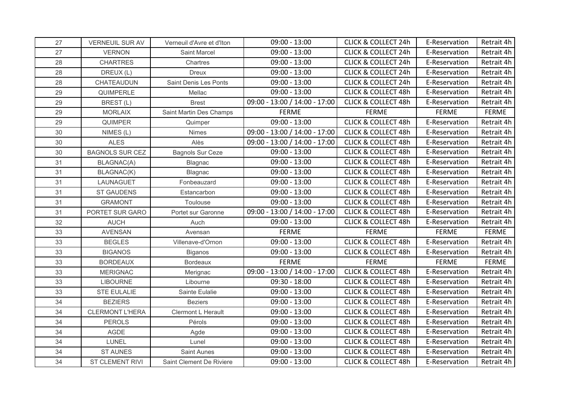| 27 | <b>VERNEUIL SUR AV</b> | Verneuil d'Avre et d'Iton | $09:00 - 13:00$               | <b>CLICK &amp; COLLECT 24h</b> | E-Reservation | Retrait 4h   |
|----|------------------------|---------------------------|-------------------------------|--------------------------------|---------------|--------------|
| 27 | <b>VERNON</b>          | <b>Saint Marcel</b>       | $09:00 - 13:00$               | <b>CLICK &amp; COLLECT 24h</b> | E-Reservation | Retrait 4h   |
| 28 | <b>CHARTRES</b>        | Chartres                  | $09:00 - 13:00$               | <b>CLICK &amp; COLLECT 24h</b> | E-Reservation | Retrait 4h   |
| 28 | DREUX (L)              | <b>Dreux</b>              | $09:00 - 13:00$               | <b>CLICK &amp; COLLECT 24h</b> | E-Reservation | Retrait 4h   |
| 28 | CHATEAUDUN             | Saint Denis Les Ponts     | $09:00 - 13:00$               | <b>CLICK &amp; COLLECT 24h</b> | E-Reservation | Retrait 4h   |
| 29 | QUIMPERLE              | Mellac                    | $09:00 - 13:00$               | <b>CLICK &amp; COLLECT 48h</b> | E-Reservation | Retrait 4h   |
| 29 | BREST(L)               | <b>Brest</b>              | 09:00 - 13:00 / 14:00 - 17:00 | <b>CLICK &amp; COLLECT 48h</b> | E-Reservation | Retrait 4h   |
| 29 | <b>MORLAIX</b>         | Saint Martin Des Champs   | <b>FERME</b>                  | <b>FERME</b>                   | <b>FERME</b>  | <b>FERME</b> |
| 29 | QUIMPER                | Quimper                   | $09:00 - 13:00$               | <b>CLICK &amp; COLLECT 48h</b> | E-Reservation | Retrait 4h   |
| 30 | NIMES (L)              | Nimes                     | 09:00 - 13:00 / 14:00 - 17:00 | <b>CLICK &amp; COLLECT 48h</b> | E-Reservation | Retrait 4h   |
| 30 | <b>ALES</b>            | Alès                      | 09:00 - 13:00 / 14:00 - 17:00 | <b>CLICK &amp; COLLECT 48h</b> | E-Reservation | Retrait 4h   |
| 30 | <b>BAGNOLS SUR CEZ</b> | <b>Bagnols Sur Ceze</b>   | $09:00 - 13:00$               | <b>CLICK &amp; COLLECT 48h</b> | E-Reservation | Retrait 4h   |
| 31 | BLAGNAC(A)             | Blagnac                   | $09:00 - 13:00$               | <b>CLICK &amp; COLLECT 48h</b> | E-Reservation | Retrait 4h   |
| 31 | BLAGNAC(K)             | Blagnac                   | $09:00 - 13:00$               | <b>CLICK &amp; COLLECT 48h</b> | E-Reservation | Retrait 4h   |
| 31 | LAUNAGUET              | Fonbeauzard               | $09:00 - 13:00$               | <b>CLICK &amp; COLLECT 48h</b> | E-Reservation | Retrait 4h   |
| 31 | <b>ST GAUDENS</b>      | Estancarbon               | $09:00 - 13:00$               | <b>CLICK &amp; COLLECT 48h</b> | E-Reservation | Retrait 4h   |
| 31 | <b>GRAMONT</b>         | Toulouse                  | $09:00 - 13:00$               | <b>CLICK &amp; COLLECT 48h</b> | E-Reservation | Retrait 4h   |
| 31 | PORTET SUR GARO        | Portet sur Garonne        | 09:00 - 13:00 / 14:00 - 17:00 | <b>CLICK &amp; COLLECT 48h</b> | E-Reservation | Retrait 4h   |
| 32 | <b>AUCH</b>            | Auch                      | $09:00 - 13:00$               | <b>CLICK &amp; COLLECT 48h</b> | E-Reservation | Retrait 4h   |
| 33 | <b>AVENSAN</b>         | Avensan                   | <b>FERME</b>                  | <b>FERME</b>                   | <b>FERME</b>  | <b>FERME</b> |
| 33 | <b>BEGLES</b>          | Villenave-d'Ornon         | $09:00 - 13:00$               | <b>CLICK &amp; COLLECT 48h</b> | E-Reservation | Retrait 4h   |
| 33 | <b>BIGANOS</b>         | <b>Biganos</b>            | $09:00 - 13:00$               | <b>CLICK &amp; COLLECT 48h</b> | E-Reservation | Retrait 4h   |
| 33 | <b>BORDEAUX</b>        | Bordeaux                  | <b>FERME</b>                  | <b>FERME</b>                   | <b>FERME</b>  | <b>FERME</b> |
| 33 | <b>MERIGNAC</b>        | Merignac                  | 09:00 - 13:00 / 14:00 - 17:00 | <b>CLICK &amp; COLLECT 48h</b> | E-Reservation | Retrait 4h   |
| 33 | <b>LIBOURNE</b>        | Libourne                  | $09:30 - 18:00$               | <b>CLICK &amp; COLLECT 48h</b> | E-Reservation | Retrait 4h   |
| 33 | STE EULALIE            | Sainte Eulalie            | $09:00 - 13:00$               | <b>CLICK &amp; COLLECT 48h</b> | E-Reservation | Retrait 4h   |
| 34 | <b>BEZIERS</b>         | <b>Beziers</b>            | $09:00 - 13:00$               | <b>CLICK &amp; COLLECT 48h</b> | E-Reservation | Retrait 4h   |
| 34 | <b>CLERMONT L'HERA</b> | Clermont L Herault        | $09:00 - 13:00$               | <b>CLICK &amp; COLLECT 48h</b> | E-Reservation | Retrait 4h   |
| 34 | <b>PEROLS</b>          | Pérols                    | $09:00 - 13:00$               | <b>CLICK &amp; COLLECT 48h</b> | E-Reservation | Retrait 4h   |
| 34 | AGDE                   | Agde                      | $09:00 - 13:00$               | <b>CLICK &amp; COLLECT 48h</b> | E-Reservation | Retrait 4h   |
| 34 | LUNEL                  | Lunel                     | $09:00 - 13:00$               | <b>CLICK &amp; COLLECT 48h</b> | E-Reservation | Retrait 4h   |
| 34 | <b>ST AUNES</b>        | Saint Aunes               | $09:00 - 13:00$               | <b>CLICK &amp; COLLECT 48h</b> | E-Reservation | Retrait 4h   |
| 34 | <b>ST CLEMENT RIVI</b> | Saint Clement De Riviere  | $09:00 - 13:00$               | <b>CLICK &amp; COLLECT 48h</b> | E-Reservation | Retrait 4h   |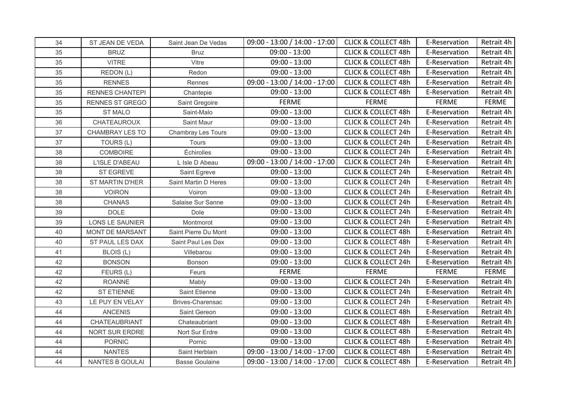| 34 | ST JEAN DE VEDA        | Saint Jean De Vedas     | 09:00 - 13:00 / 14:00 - 17:00 | <b>CLICK &amp; COLLECT 48h</b> | E-Reservation | Retrait 4h   |
|----|------------------------|-------------------------|-------------------------------|--------------------------------|---------------|--------------|
| 35 | <b>BRUZ</b>            | <b>Bruz</b>             | $09:00 - 13:00$               | <b>CLICK &amp; COLLECT 48h</b> | E-Reservation | Retrait 4h   |
| 35 | <b>VITRE</b>           | Vitre                   | $09:00 - 13:00$               | <b>CLICK &amp; COLLECT 48h</b> | E-Reservation | Retrait 4h   |
| 35 | REDON (L)              | Redon                   | $09:00 - 13:00$               | <b>CLICK &amp; COLLECT 48h</b> | E-Reservation | Retrait 4h   |
| 35 | <b>RENNES</b>          | Rennes                  | 09:00 - 13:00 / 14:00 - 17:00 | <b>CLICK &amp; COLLECT 48h</b> | E-Reservation | Retrait 4h   |
| 35 | <b>RENNES CHANTEPI</b> | Chantepie               | $09:00 - 13:00$               | <b>CLICK &amp; COLLECT 48h</b> | E-Reservation | Retrait 4h   |
| 35 | <b>RENNES ST GREGO</b> | Saint Gregoire          | <b>FERME</b>                  | <b>FERME</b>                   | <b>FERME</b>  | <b>FERME</b> |
| 35 | <b>ST MALO</b>         | Saint-Malo              | $09:00 - 13:00$               | <b>CLICK &amp; COLLECT 48h</b> | E-Reservation | Retrait 4h   |
| 36 | CHATEAUROUX            | Saint Maur              | $09:00 - 13:00$               | <b>CLICK &amp; COLLECT 24h</b> | E-Reservation | Retrait 4h   |
| 37 | CHAMBRAY LES TO        | Chambray Les Tours      | $09:00 - 13:00$               | <b>CLICK &amp; COLLECT 24h</b> | E-Reservation | Retrait 4h   |
| 37 | TOURS (L)              | Tours                   | $09:00 - 13:00$               | <b>CLICK &amp; COLLECT 24h</b> | E-Reservation | Retrait 4h   |
| 38 | COMBOIRE               | Échirolles              | $09:00 - 13:00$               | <b>CLICK &amp; COLLECT 24h</b> | E-Reservation | Retrait 4h   |
| 38 | L'ISLE D'ABEAU         | L Isle D Abeau          | 09:00 - 13:00 / 14:00 - 17:00 | <b>CLICK &amp; COLLECT 24h</b> | E-Reservation | Retrait 4h   |
| 38 | <b>ST EGREVE</b>       | Saint Egreve            | $09:00 - 13:00$               | <b>CLICK &amp; COLLECT 24h</b> | E-Reservation | Retrait 4h   |
| 38 | ST MARTIN D'HER        | Saint Martin D Heres    | $09:00 - 13:00$               | <b>CLICK &amp; COLLECT 24h</b> | E-Reservation | Retrait 4h   |
| 38 | <b>VOIRON</b>          | Voiron                  | $09:00 - 13:00$               | <b>CLICK &amp; COLLECT 24h</b> | E-Reservation | Retrait 4h   |
| 38 | <b>CHANAS</b>          | Salaise Sur Sanne       | $09:00 - 13:00$               | <b>CLICK &amp; COLLECT 24h</b> | E-Reservation | Retrait 4h   |
| 39 | <b>DOLE</b>            | Dole                    | $09:00 - 13:00$               | <b>CLICK &amp; COLLECT 24h</b> | E-Reservation | Retrait 4h   |
| 39 | LONS LE SAUNIER        | Montmorot               | $09:00 - 13:00$               | <b>CLICK &amp; COLLECT 24h</b> | E-Reservation | Retrait 4h   |
| 40 | MONT DE MARSANT        | Saint Pierre Du Mont    | $09:00 - 13:00$               | <b>CLICK &amp; COLLECT 48h</b> | E-Reservation | Retrait 4h   |
| 40 | ST PAUL LES DAX        | Saint Paul Les Dax      | $09:00 - 13:00$               | <b>CLICK &amp; COLLECT 48h</b> | E-Reservation | Retrait 4h   |
| 41 | BLOIS (L)              | Villebarou              | $09:00 - 13:00$               | <b>CLICK &amp; COLLECT 24h</b> | E-Reservation | Retrait 4h   |
| 42 | <b>BONSON</b>          | Bonson                  | $09:00 - 13:00$               | <b>CLICK &amp; COLLECT 24h</b> | E-Reservation | Retrait 4h   |
| 42 | FEURS (L)              | Feurs                   | <b>FERME</b>                  | <b>FERME</b>                   | <b>FERME</b>  | <b>FERME</b> |
| 42 | <b>ROANNE</b>          | Mably                   | $09:00 - 13:00$               | <b>CLICK &amp; COLLECT 24h</b> | E-Reservation | Retrait 4h   |
| 42 | ST ETIENNE             | Saint Etienne           | $09:00 - 13:00$               | <b>CLICK &amp; COLLECT 24h</b> | E-Reservation | Retrait 4h   |
| 43 | LE PUY EN VELAY        | <b>Brives-Charensac</b> | $09:00 - 13:00$               | <b>CLICK &amp; COLLECT 24h</b> | E-Reservation | Retrait 4h   |
| 44 | <b>ANCENIS</b>         | Saint Gereon            | $09:00 - 13:00$               | <b>CLICK &amp; COLLECT 48h</b> | E-Reservation | Retrait 4h   |
| 44 | CHATEAUBRIANT          | Chateaubriant           | $09:00 - 13:00$               | <b>CLICK &amp; COLLECT 48h</b> | E-Reservation | Retrait 4h   |
| 44 | NORT SUR ERDRE         | Nort Sur Erdre          | $09:00 - 13:00$               | <b>CLICK &amp; COLLECT 48h</b> | E-Reservation | Retrait 4h   |
| 44 | <b>PORNIC</b>          | Pornic                  | $09:00 - 13:00$               | <b>CLICK &amp; COLLECT 48h</b> | E-Reservation | Retrait 4h   |
| 44 | <b>NANTES</b>          | Saint Herblain          | 09:00 - 13:00 / 14:00 - 17:00 | <b>CLICK &amp; COLLECT 48h</b> | E-Reservation | Retrait 4h   |
| 44 | <b>NANTES B GOULAI</b> | <b>Basse Goulaine</b>   | 09:00 - 13:00 / 14:00 - 17:00 | <b>CLICK &amp; COLLECT 48h</b> | E-Reservation | Retrait 4h   |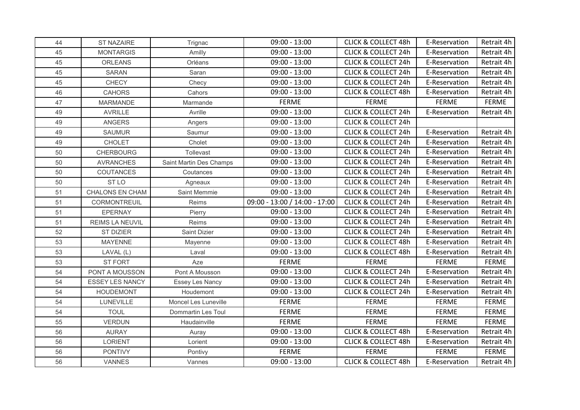| 44 | ST NAZAIRE             | Trignac                 | $09:00 - 13:00$               | <b>CLICK &amp; COLLECT 48h</b> | E-Reservation | Retrait 4h   |
|----|------------------------|-------------------------|-------------------------------|--------------------------------|---------------|--------------|
| 45 | <b>MONTARGIS</b>       | Amilly                  | $09:00 - 13:00$               | <b>CLICK &amp; COLLECT 24h</b> | E-Reservation | Retrait 4h   |
| 45 | <b>ORLEANS</b>         | Orléans                 | $09:00 - 13:00$               | <b>CLICK &amp; COLLECT 24h</b> | E-Reservation | Retrait 4h   |
| 45 | <b>SARAN</b>           | Saran                   | $09:00 - 13:00$               | <b>CLICK &amp; COLLECT 24h</b> | E-Reservation | Retrait 4h   |
| 45 | <b>CHECY</b>           | Checy                   | $09:00 - 13:00$               | <b>CLICK &amp; COLLECT 24h</b> | E-Reservation | Retrait 4h   |
| 46 | <b>CAHORS</b>          | Cahors                  | $09:00 - 13:00$               | <b>CLICK &amp; COLLECT 48h</b> | E-Reservation | Retrait 4h   |
| 47 | <b>MARMANDE</b>        | Marmande                | <b>FERME</b>                  | <b>FERME</b>                   | <b>FERME</b>  | <b>FERME</b> |
| 49 | <b>AVRILLE</b>         | Avrille                 | $09:00 - 13:00$               | <b>CLICK &amp; COLLECT 24h</b> | E-Reservation | Retrait 4h   |
| 49 | ANGERS                 | Angers                  | $09:00 - 13:00$               | <b>CLICK &amp; COLLECT 24h</b> |               |              |
| 49 | <b>SAUMUR</b>          | Saumur                  | $09:00 - 13:00$               | <b>CLICK &amp; COLLECT 24h</b> | E-Reservation | Retrait 4h   |
| 49 | <b>CHOLET</b>          | Cholet                  | $09:00 - 13:00$               | <b>CLICK &amp; COLLECT 24h</b> | E-Reservation | Retrait 4h   |
| 50 | <b>CHERBOURG</b>       | Tollevast               | $09:00 - 13:00$               | <b>CLICK &amp; COLLECT 24h</b> | E-Reservation | Retrait 4h   |
| 50 | <b>AVRANCHES</b>       | Saint Martin Des Champs | $09:00 - 13:00$               | <b>CLICK &amp; COLLECT 24h</b> | E-Reservation | Retrait 4h   |
| 50 | <b>COUTANCES</b>       | Coutances               | $09:00 - 13:00$               | <b>CLICK &amp; COLLECT 24h</b> | E-Reservation | Retrait 4h   |
| 50 | ST <sub>LO</sub>       | Agneaux                 | $09:00 - 13:00$               | <b>CLICK &amp; COLLECT 24h</b> | E-Reservation | Retrait 4h   |
| 51 | <b>CHALONS EN CHAM</b> | Saint Memmie            | $09:00 - 13:00$               | <b>CLICK &amp; COLLECT 24h</b> | E-Reservation | Retrait 4h   |
| 51 | CORMONTREUIL           | Reims                   | 09:00 - 13:00 / 14:00 - 17:00 | <b>CLICK &amp; COLLECT 24h</b> | E-Reservation | Retrait 4h   |
| 51 | EPERNAY                | Pierry                  | $09:00 - 13:00$               | <b>CLICK &amp; COLLECT 24h</b> | E-Reservation | Retrait 4h   |
| 51 | REIMS LA NEUVIL        | Reims                   | $09:00 - 13:00$               | <b>CLICK &amp; COLLECT 24h</b> | E-Reservation | Retrait 4h   |
| 52 | ST DIZIER              | Saint Dizier            | $09:00 - 13:00$               | <b>CLICK &amp; COLLECT 24h</b> | E-Reservation | Retrait 4h   |
| 53 | <b>MAYENNE</b>         | Mayenne                 | $09:00 - 13:00$               | <b>CLICK &amp; COLLECT 48h</b> | E-Reservation | Retrait 4h   |
| 53 | LAVAL (L)              | Laval                   | $09:00 - 13:00$               | <b>CLICK &amp; COLLECT 48h</b> | E-Reservation | Retrait 4h   |
| 53 | <b>ST FORT</b>         | Aze                     | <b>FERME</b>                  | <b>FERME</b>                   | <b>FERME</b>  | <b>FERME</b> |
| 54 | PONT A MOUSSON         | Pont A Mousson          | $09:00 - 13:00$               | <b>CLICK &amp; COLLECT 24h</b> | E-Reservation | Retrait 4h   |
| 54 | <b>ESSEY LES NANCY</b> | <b>Essey Les Nancy</b>  | $09:00 - 13:00$               | <b>CLICK &amp; COLLECT 24h</b> | E-Reservation | Retrait 4h   |
| 54 | <b>HOUDEMONT</b>       | Houdemont               | $09:00 - 13:00$               | <b>CLICK &amp; COLLECT 24h</b> | E-Reservation | Retrait 4h   |
| 54 | LUNEVILLE              | Moncel Les Luneville    | <b>FERME</b>                  | <b>FERME</b>                   | <b>FERME</b>  | <b>FERME</b> |
| 54 | <b>TOUL</b>            | Dommartin Les Toul      | <b>FERME</b>                  | <b>FERME</b>                   | <b>FERME</b>  | <b>FERME</b> |
| 55 | <b>VERDUN</b>          | Haudainville            | <b>FERME</b>                  | <b>FERME</b>                   | <b>FERME</b>  | <b>FERME</b> |
| 56 | <b>AURAY</b>           | Auray                   | $09:00 - 13:00$               | <b>CLICK &amp; COLLECT 48h</b> | E-Reservation | Retrait 4h   |
| 56 | <b>LORIENT</b>         | Lorient                 | $09:00 - 13:00$               | <b>CLICK &amp; COLLECT 48h</b> | E-Reservation | Retrait 4h   |
| 56 | <b>PONTIVY</b>         | Pontivy                 | <b>FERME</b>                  | <b>FERME</b>                   | <b>FERME</b>  | <b>FERME</b> |
| 56 | <b>VANNES</b>          | Vannes                  | $09:00 - 13:00$               | <b>CLICK &amp; COLLECT 48h</b> | E-Reservation | Retrait 4h   |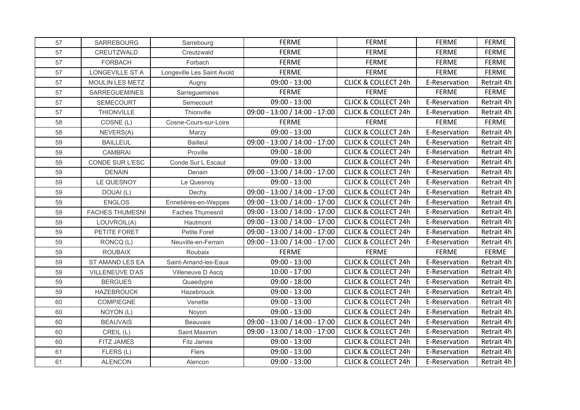| 57 | SARREBOURG             | Sarrebourg                 | <b>FERME</b>                  | <b>FERME</b>                   | <b>FERME</b>  | <b>FERME</b> |
|----|------------------------|----------------------------|-------------------------------|--------------------------------|---------------|--------------|
| 57 | CREUTZWALD             | Creutzwald                 | <b>FERME</b>                  | <b>FERME</b>                   | <b>FERME</b>  | <b>FERME</b> |
| 57 | <b>FORBACH</b>         | Forbach                    | <b>FERME</b>                  | <b>FERME</b>                   | <b>FERME</b>  | <b>FERME</b> |
| 57 | LONGEVILLE ST A        | Longeville Les Saint Avold | <b>FERME</b>                  | <b>FERME</b>                   | <b>FERME</b>  | <b>FERME</b> |
| 57 | MOULIN LES METZ        | Augny                      | $09:00 - 13:00$               | <b>CLICK &amp; COLLECT 24h</b> | E-Reservation | Retrait 4h   |
| 57 | <b>SARREGUEMINES</b>   | Sarreguemines              | <b>FERME</b>                  | <b>FERME</b>                   | <b>FERME</b>  | <b>FERME</b> |
| 57 | <b>SEMECOURT</b>       | Semecourt                  | $09:00 - 13:00$               | <b>CLICK &amp; COLLECT 24h</b> | E-Reservation | Retrait 4h   |
| 57 | THIONVILLE             | Thionville                 | 09:00 - 13:00 / 14:00 - 17:00 | CLICK & COLLECT 24h            | E-Reservation | Retrait 4h   |
| 58 | COSNE (L)              | Cosne-Cours-sur-Loire      | <b>FERME</b>                  | <b>FERME</b>                   | <b>FERME</b>  | <b>FERME</b> |
| 58 | NEVERS(A)              | Marzy                      | $09:00 - 13:00$               | <b>CLICK &amp; COLLECT 24h</b> | E-Reservation | Retrait 4h   |
| 59 | <b>BAILLEUL</b>        | <b>Bailleul</b>            | 09:00 - 13:00 / 14:00 - 17:00 | <b>CLICK &amp; COLLECT 24h</b> | E-Reservation | Retrait 4h   |
| 59 | <b>CAMBRAI</b>         | Proville                   | $09:00 - 18:00$               | <b>CLICK &amp; COLLECT 24h</b> | E-Reservation | Retrait 4h   |
| 59 | CONDE SUR L'ESC        | Conde Sur L Escaut         | $09:00 - 13:00$               | <b>CLICK &amp; COLLECT 24h</b> | E-Reservation | Retrait 4h   |
| 59 | <b>DENAIN</b>          | Denain                     | 09:00 - 13:00 / 14:00 - 17:00 | <b>CLICK &amp; COLLECT 24h</b> | E-Reservation | Retrait 4h   |
| 59 | LE QUESNOY             | Le Quesnoy                 | $09:00 - 13:00$               | <b>CLICK &amp; COLLECT 24h</b> | E-Reservation | Retrait 4h   |
| 59 | DOUAI(L)               | Dechy                      | 09:00 - 13:00 / 14:00 - 17:00 | <b>CLICK &amp; COLLECT 24h</b> | E-Reservation | Retrait 4h   |
| 59 | <b>ENGLOS</b>          | Ennetières-en-Weppes       | 09:00 - 13:00 / 14:00 - 17:00 | <b>CLICK &amp; COLLECT 24h</b> | E-Reservation | Retrait 4h   |
| 59 | <b>FACHES THUMESNI</b> | <b>Faches Thumesnil</b>    | 09:00 - 13:00 / 14:00 - 17:00 | <b>CLICK &amp; COLLECT 24h</b> | E-Reservation | Retrait 4h   |
| 59 | LOUVROIL(A)            | Hautmont                   | 09:00 - 13:00 / 14:00 - 17:00 | <b>CLICK &amp; COLLECT 24h</b> | E-Reservation | Retrait 4h   |
| 59 | PETITE FORET           | Petite Foret               | 09:00 - 13:00 / 14:00 - 17:00 | <b>CLICK &amp; COLLECT 24h</b> | E-Reservation | Retrait 4h   |
| 59 | RONCQ (L)              | Neuville-en-Ferrain        | 09:00 - 13:00 / 14:00 - 17:00 | <b>CLICK &amp; COLLECT 24h</b> | E-Reservation | Retrait 4h   |
| 59 | <b>ROUBAIX</b>         | Roubaix                    | <b>FERME</b>                  | <b>FERME</b>                   | <b>FERME</b>  | <b>FERME</b> |
| 59 | ST AMAND LES EA        | Saint-Amand-les-Eaux       | $09:00 - 13:00$               | <b>CLICK &amp; COLLECT 24h</b> | E-Reservation | Retrait 4h   |
| 59 | <b>VILLENEUVE D'AS</b> | Villeneuve D Ascq          | $10:00 - 17:00$               | <b>CLICK &amp; COLLECT 24h</b> | E-Reservation | Retrait 4h   |
| 59 | <b>BERGUES</b>         | Quaedypre                  | $09:00 - 18:00$               | <b>CLICK &amp; COLLECT 24h</b> | E-Reservation | Retrait 4h   |
| 59 | <b>HAZEBROUCK</b>      | Hazebrouck                 | $09:00 - 13:00$               | <b>CLICK &amp; COLLECT 24h</b> | E-Reservation | Retrait 4h   |
| 60 | COMPIEGNE              | Venette                    | $09:00 - 13:00$               | <b>CLICK &amp; COLLECT 24h</b> | E-Reservation | Retrait 4h   |
| 60 | NOYON (L)              | Noyon                      | $09:00 - 13:00$               | <b>CLICK &amp; COLLECT 24h</b> | E-Reservation | Retrait 4h   |
| 60 | <b>BEAUVAIS</b>        | Beauvais                   | 09:00 - 13:00 / 14:00 - 17:00 | <b>CLICK &amp; COLLECT 24h</b> | E-Reservation | Retrait 4h   |
| 60 | CREIL (L)              | Saint Maximin              | 09:00 - 13:00 / 14:00 - 17:00 | <b>CLICK &amp; COLLECT 24h</b> | E-Reservation | Retrait 4h   |
| 60 | FITZ JAMES             | Fitz James                 | $09:00 - 13:00$               | <b>CLICK &amp; COLLECT 24h</b> | E-Reservation | Retrait 4h   |
| 61 | FLERS (L)              | Flers                      | $09:00 - 13:00$               | <b>CLICK &amp; COLLECT 24h</b> | E-Reservation | Retrait 4h   |
| 61 | <b>ALENCON</b>         | Alencon                    | $09:00 - 13:00$               | <b>CLICK &amp; COLLECT 24h</b> | E-Reservation | Retrait 4h   |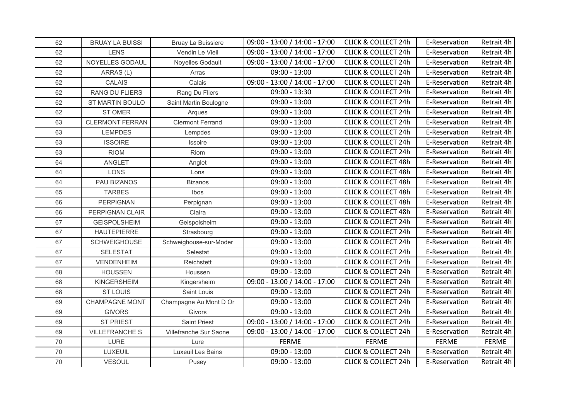| 62 | <b>BRUAY LA BUISSI</b> | Bruay La Buissiere      | 09:00 - 13:00 / 14:00 - 17:00 | <b>CLICK &amp; COLLECT 24h</b> | E-Reservation | Retrait 4h |
|----|------------------------|-------------------------|-------------------------------|--------------------------------|---------------|------------|
| 62 | <b>LENS</b>            | Vendin Le Vieil         | 09:00 - 13:00 / 14:00 - 17:00 | <b>CLICK &amp; COLLECT 24h</b> | E-Reservation | Retrait 4h |
| 62 | NOYELLES GODAUL        | Noyelles Godault        | 09:00 - 13:00 / 14:00 - 17:00 | <b>CLICK &amp; COLLECT 24h</b> | E-Reservation | Retrait 4h |
| 62 | ARRAS (L)              | Arras                   | $09:00 - 13:00$               | <b>CLICK &amp; COLLECT 24h</b> | E-Reservation | Retrait 4h |
| 62 | CALAIS                 | Calais                  | 09:00 - 13:00 / 14:00 - 17:00 | <b>CLICK &amp; COLLECT 24h</b> | E-Reservation | Retrait 4h |
| 62 | RANG DU FLIERS         | Rang Du Fliers          | $09:00 - 13:30$               | <b>CLICK &amp; COLLECT 24h</b> | E-Reservation | Retrait 4h |
| 62 | ST MARTIN BOULO        | Saint Martin Boulogne   | $09:00 - 13:00$               | <b>CLICK &amp; COLLECT 24h</b> | E-Reservation | Retrait 4h |
| 62 | ST OMER                | Arques                  | $09:00 - 13:00$               | <b>CLICK &amp; COLLECT 24h</b> | E-Reservation | Retrait 4h |
| 63 | <b>CLERMONT FERRAN</b> | <b>Clermont Ferrand</b> | $09:00 - 13:00$               | <b>CLICK &amp; COLLECT 24h</b> | E-Reservation | Retrait 4h |
| 63 | <b>LEMPDES</b>         | Lempdes                 | $09:00 - 13:00$               | <b>CLICK &amp; COLLECT 24h</b> | E-Reservation | Retrait 4h |
| 63 | <b>ISSOIRE</b>         | Issoire                 | $09:00 - 13:00$               | <b>CLICK &amp; COLLECT 24h</b> | E-Reservation | Retrait 4h |
| 63 | <b>RIOM</b>            | Riom                    | $09:00 - 13:00$               | <b>CLICK &amp; COLLECT 24h</b> | E-Reservation | Retrait 4h |
| 64 | ANGLET                 | Anglet                  | $09:00 - 13:00$               | <b>CLICK &amp; COLLECT 48h</b> | E-Reservation | Retrait 4h |
| 64 | <b>LONS</b>            | Lons                    | $09:00 - 13:00$               | <b>CLICK &amp; COLLECT 48h</b> | E-Reservation | Retrait 4h |
| 64 | PAU BIZANOS            | <b>Bizanos</b>          | $09:00 - 13:00$               | <b>CLICK &amp; COLLECT 48h</b> | E-Reservation | Retrait 4h |
| 65 | <b>TARBES</b>          | Ibos                    | $09:00 - 13:00$               | <b>CLICK &amp; COLLECT 48h</b> | E-Reservation | Retrait 4h |
| 66 | <b>PERPIGNAN</b>       | Perpignan               | $09:00 - 13:00$               | <b>CLICK &amp; COLLECT 48h</b> | E-Reservation | Retrait 4h |
| 66 | PERPIGNAN CLAIR        | Claira                  | $09:00 - 13:00$               | <b>CLICK &amp; COLLECT 48h</b> | E-Reservation | Retrait 4h |
| 67 | <b>GEISPOLSHEIM</b>    | Geispolsheim            | $09:00 - 13:00$               | <b>CLICK &amp; COLLECT 24h</b> | E-Reservation | Retrait 4h |
| 67 | <b>HAUTEPIERRE</b>     | Strasbourg              | $09:00 - 13:00$               | <b>CLICK &amp; COLLECT 24h</b> | E-Reservation | Retrait 4h |
| 67 | <b>SCHWEIGHOUSE</b>    | Schweighouse-sur-Moder  | $09:00 - 13:00$               | <b>CLICK &amp; COLLECT 24h</b> | E-Reservation | Retrait 4h |
| 67 | <b>SELESTAT</b>        | Selestat                | $09:00 - 13:00$               | <b>CLICK &amp; COLLECT 24h</b> | E-Reservation | Retrait 4h |
| 67 | <b>VENDENHEIM</b>      | Reichstett              | $09:00 - 13:00$               | <b>CLICK &amp; COLLECT 24h</b> | E-Reservation | Retrait 4h |
| 68 | <b>HOUSSEN</b>         | Houssen                 | $09:00 - 13:00$               | <b>CLICK &amp; COLLECT 24h</b> | E-Reservation | Retrait 4h |
| 68 | <b>KINGERSHEIM</b>     | Kingersheim             | 09:00 - 13:00 / 14:00 - 17:00 | <b>CLICK &amp; COLLECT 24h</b> | E-Reservation | Retrait 4h |
| 68 | <b>ST LOUIS</b>        | Saint Louis             | $09:00 - 13:00$               | <b>CLICK &amp; COLLECT 24h</b> | E-Reservation | Retrait 4h |
| 69 | <b>CHAMPAGNE MONT</b>  | Champagne Au Mont D Or  | $09:00 - 13:00$               | <b>CLICK &amp; COLLECT 24h</b> | E-Reservation | Retrait 4h |
| 69 | <b>GIVORS</b>          | Givors                  | $09:00 - 13:00$               | <b>CLICK &amp; COLLECT 24h</b> | E-Reservation | Retrait 4h |
| 69 | <b>ST PRIEST</b>       | <b>Saint Priest</b>     | 09:00 - 13:00 / 14:00 - 17:00 | <b>CLICK &amp; COLLECT 24h</b> | E-Reservation | Retrait 4h |
| 69 | <b>VILLEFRANCHE S</b>  | Villefranche Sur Saone  | 09:00 - 13:00 / 14:00 - 17:00 | <b>CLICK &amp; COLLECT 24h</b> | E-Reservation | Retrait 4h |
| 70 | LURE                   | Lure                    | <b>FERME</b>                  | <b>FERME</b>                   | <b>FERME</b>  | FERME      |
| 70 | LUXEUIL                | Luxeuil Les Bains       | $09:00 - 13:00$               | <b>CLICK &amp; COLLECT 24h</b> | E-Reservation | Retrait 4h |
| 70 | <b>VESOUL</b>          | Pusey                   | $09:00 - 13:00$               | <b>CLICK &amp; COLLECT 24h</b> | E-Reservation | Retrait 4h |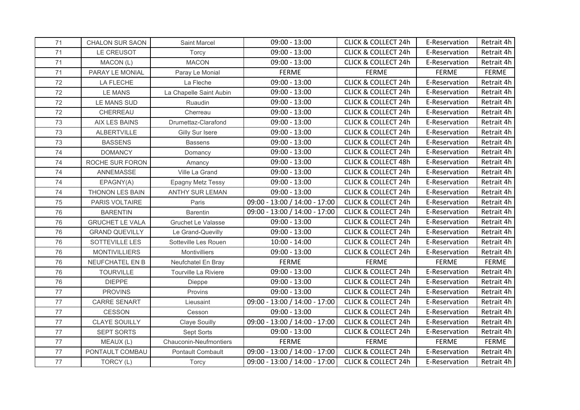| 71 | <b>CHALON SUR SAON</b> | <b>Saint Marcel</b>       | $09:00 - 13:00$               | <b>CLICK &amp; COLLECT 24h</b> | E-Reservation | Retrait 4h   |
|----|------------------------|---------------------------|-------------------------------|--------------------------------|---------------|--------------|
| 71 | LE CREUSOT             | Torcy                     | $09:00 - 13:00$               | <b>CLICK &amp; COLLECT 24h</b> | E-Reservation | Retrait 4h   |
| 71 | MACON (L)              | <b>MACON</b>              | $09:00 - 13:00$               | <b>CLICK &amp; COLLECT 24h</b> | E-Reservation | Retrait 4h   |
| 71 | PARAY LE MONIAL        | Paray Le Monial           | <b>FERME</b>                  | <b>FERME</b>                   | <b>FERME</b>  | <b>FERME</b> |
| 72 | LA FLECHE              | La Fleche                 | $09:00 - 13:00$               | <b>CLICK &amp; COLLECT 24h</b> | E-Reservation | Retrait 4h   |
| 72 | <b>LE MANS</b>         | La Chapelle Saint Aubin   | $09:00 - 13:00$               | <b>CLICK &amp; COLLECT 24h</b> | E-Reservation | Retrait 4h   |
| 72 | LE MANS SUD            | Ruaudin                   | $09:00 - 13:00$               | <b>CLICK &amp; COLLECT 24h</b> | E-Reservation | Retrait 4h   |
| 72 | CHERREAU               | Cherreau                  | $09:00 - 13:00$               | <b>CLICK &amp; COLLECT 24h</b> | E-Reservation | Retrait 4h   |
| 73 | AIX LES BAINS          | Drumettaz-Clarafond       | $09:00 - 13:00$               | <b>CLICK &amp; COLLECT 24h</b> | E-Reservation | Retrait 4h   |
| 73 | <b>ALBERTVILLE</b>     | Gilly Sur Isere           | $09:00 - 13:00$               | <b>CLICK &amp; COLLECT 24h</b> | E-Reservation | Retrait 4h   |
| 73 | <b>BASSENS</b>         | <b>Bassens</b>            | $09:00 - 13:00$               | <b>CLICK &amp; COLLECT 24h</b> | E-Reservation | Retrait 4h   |
| 74 | <b>DOMANCY</b>         | Domancy                   | $09:00 - 13:00$               | <b>CLICK &amp; COLLECT 24h</b> | E-Reservation | Retrait 4h   |
| 74 | ROCHE SUR FORON        | Amancy                    | $09:00 - 13:00$               | <b>CLICK &amp; COLLECT 48h</b> | E-Reservation | Retrait 4h   |
| 74 | ANNEMASSE              | Ville La Grand            | $09:00 - 13:00$               | <b>CLICK &amp; COLLECT 24h</b> | E-Reservation | Retrait 4h   |
| 74 | EPAGNY(A)              | Epagny Metz Tessy         | $09:00 - 13:00$               | <b>CLICK &amp; COLLECT 24h</b> | E-Reservation | Retrait 4h   |
| 74 | <b>THONON LES BAIN</b> | <b>ANTHY SUR LEMAN</b>    | $09:00 - 13:00$               | <b>CLICK &amp; COLLECT 24h</b> | E-Reservation | Retrait 4h   |
| 75 | PARIS VOLTAIRE         | Paris                     | 09:00 - 13:00 / 14:00 - 17:00 | <b>CLICK &amp; COLLECT 24h</b> | E-Reservation | Retrait 4h   |
| 76 | <b>BARENTIN</b>        | <b>Barentin</b>           | 09:00 - 13:00 / 14:00 - 17:00 | <b>CLICK &amp; COLLECT 24h</b> | E-Reservation | Retrait 4h   |
| 76 | <b>GRUCHET LE VALA</b> | <b>Gruchet Le Valasse</b> | $09:00 - 13:00$               | <b>CLICK &amp; COLLECT 24h</b> | E-Reservation | Retrait 4h   |
| 76 | <b>GRAND QUEVILLY</b>  | Le Grand-Quevilly         | $09:00 - 13:00$               | <b>CLICK &amp; COLLECT 24h</b> | E-Reservation | Retrait 4h   |
| 76 | SOTTEVILLE LES         | Sotteville Les Rouen      | $10:00 - 14:00$               | <b>CLICK &amp; COLLECT 24h</b> | E-Reservation | Retrait 4h   |
| 76 | <b>MONTIVILLIERS</b>   | <b>Montivilliers</b>      | $09:00 - 13:00$               | <b>CLICK &amp; COLLECT 24h</b> | E-Reservation | Retrait 4h   |
| 76 | NEUFCHATEL EN B        | Neufchatel En Bray        | <b>FERME</b>                  | <b>FERME</b>                   | <b>FERME</b>  | <b>FERME</b> |
| 76 | <b>TOURVILLE</b>       | Tourville La Riviere      | $09:00 - 13:00$               | <b>CLICK &amp; COLLECT 24h</b> | E-Reservation | Retrait 4h   |
| 76 | <b>DIEPPE</b>          | Dieppe                    | $09:00 - 13:00$               | <b>CLICK &amp; COLLECT 24h</b> | E-Reservation | Retrait 4h   |
| 77 | <b>PROVINS</b>         | Provins                   | $09:00 - 13:00$               | <b>CLICK &amp; COLLECT 24h</b> | E-Reservation | Retrait 4h   |
| 77 | <b>CARRE SENART</b>    | Lieusaint                 | 09:00 - 13:00 / 14:00 - 17:00 | <b>CLICK &amp; COLLECT 24h</b> | E-Reservation | Retrait 4h   |
| 77 | <b>CESSON</b>          | Cesson                    | $09:00 - 13:00$               | <b>CLICK &amp; COLLECT 24h</b> | E-Reservation | Retrait 4h   |
| 77 | CLAYE SOUILLY          | <b>Claye Souilly</b>      | 09:00 - 13:00 / 14:00 - 17:00 | <b>CLICK &amp; COLLECT 24h</b> | E-Reservation | Retrait 4h   |
| 77 | <b>SEPT SORTS</b>      | Sept Sorts                | $09:00 - 13:00$               | <b>CLICK &amp; COLLECT 24h</b> | E-Reservation | Retrait 4h   |
| 77 | MEAUX (L)              | Chauconin-Neufmontiers    | <b>FERME</b>                  | <b>FERME</b>                   | <b>FERME</b>  | FERME        |
| 77 | PONTAULT COMBAU        | Pontault Combault         | 09:00 - 13:00 / 14:00 - 17:00 | <b>CLICK &amp; COLLECT 24h</b> | E-Reservation | Retrait 4h   |
| 77 | TORCY (L)              | Torcy                     | 09:00 - 13:00 / 14:00 - 17:00 | <b>CLICK &amp; COLLECT 24h</b> | E-Reservation | Retrait 4h   |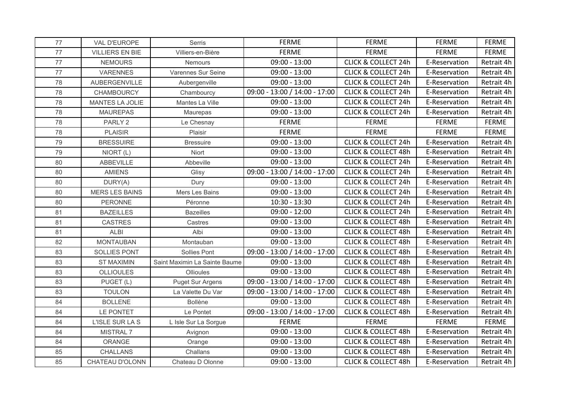| 77 | VAL D'EUROPE           | Serris                        | <b>FERME</b>                  | <b>FERME</b>                   | <b>FERME</b>  | <b>FERME</b> |
|----|------------------------|-------------------------------|-------------------------------|--------------------------------|---------------|--------------|
| 77 | <b>VILLIERS EN BIE</b> | Villiers-en-Bière             | <b>FERME</b>                  | <b>FERME</b>                   | <b>FERME</b>  | <b>FERME</b> |
| 77 | <b>NEMOURS</b>         | Nemours                       | $09:00 - 13:00$               | <b>CLICK &amp; COLLECT 24h</b> | E-Reservation | Retrait 4h   |
| 77 | <b>VARENNES</b>        | Varennes Sur Seine            | $09:00 - 13:00$               | <b>CLICK &amp; COLLECT 24h</b> | E-Reservation | Retrait 4h   |
| 78 | <b>AUBERGENVILLE</b>   | Aubergenville                 | $09:00 - 13:00$               | <b>CLICK &amp; COLLECT 24h</b> | E-Reservation | Retrait 4h   |
| 78 | <b>CHAMBOURCY</b>      | Chambourcy                    | 09:00 - 13:00 / 14:00 - 17:00 | <b>CLICK &amp; COLLECT 24h</b> | E-Reservation | Retrait 4h   |
| 78 | MANTES LA JOLIE        | Mantes La Ville               | $09:00 - 13:00$               | <b>CLICK &amp; COLLECT 24h</b> | E-Reservation | Retrait 4h   |
| 78 | <b>MAUREPAS</b>        | Maurepas                      | $09:00 - 13:00$               | <b>CLICK &amp; COLLECT 24h</b> | E-Reservation | Retrait 4h   |
| 78 | PARLY <sub>2</sub>     | Le Chesnay                    | <b>FERME</b>                  | <b>FERME</b>                   | <b>FERME</b>  | <b>FERME</b> |
| 78 | <b>PLAISIR</b>         | Plaisir                       | <b>FERME</b>                  | <b>FERME</b>                   | <b>FERME</b>  | <b>FERME</b> |
| 79 | <b>BRESSUIRE</b>       | <b>Bressuire</b>              | $09:00 - 13:00$               | <b>CLICK &amp; COLLECT 24h</b> | E-Reservation | Retrait 4h   |
| 79 | NIORT (L)              | Niort                         | $09:00 - 13:00$               | <b>CLICK &amp; COLLECT 48h</b> | E-Reservation | Retrait 4h   |
| 80 | ABBEVILLE              | Abbeville                     | $09:00 - 13:00$               | <b>CLICK &amp; COLLECT 24h</b> | E-Reservation | Retrait 4h   |
| 80 | <b>AMIENS</b>          | Glisy                         | 09:00 - 13:00 / 14:00 - 17:00 | <b>CLICK &amp; COLLECT 24h</b> | E-Reservation | Retrait 4h   |
| 80 | DURY(A)                | Dury                          | $09:00 - 13:00$               | <b>CLICK &amp; COLLECT 24h</b> | E-Reservation | Retrait 4h   |
| 80 | <b>MERS LES BAINS</b>  | Mers Les Bains                | $09:00 - 13:00$               | <b>CLICK &amp; COLLECT 24h</b> | E-Reservation | Retrait 4h   |
| 80 | <b>PERONNE</b>         | Péronne                       | $10:30 - 13:30$               | <b>CLICK &amp; COLLECT 24h</b> | E-Reservation | Retrait 4h   |
| 81 | <b>BAZEILLES</b>       | <b>Bazeilles</b>              | $09:00 - 12:00$               | <b>CLICK &amp; COLLECT 24h</b> | E-Reservation | Retrait 4h   |
| 81 | <b>CASTRES</b>         | Castres                       | $09:00 - 13:00$               | <b>CLICK &amp; COLLECT 48h</b> | E-Reservation | Retrait 4h   |
| 81 | <b>ALBI</b>            | Albi                          | $09:00 - 13:00$               | <b>CLICK &amp; COLLECT 48h</b> | E-Reservation | Retrait 4h   |
| 82 | <b>MONTAUBAN</b>       | Montauban                     | $09:00 - 13:00$               | <b>CLICK &amp; COLLECT 48h</b> | E-Reservation | Retrait 4h   |
| 83 | <b>SOLLIES PONT</b>    | Sollies Pont                  | 09:00 - 13:00 / 14:00 - 17:00 | <b>CLICK &amp; COLLECT 48h</b> | E-Reservation | Retrait 4h   |
| 83 | <b>ST MAXIMIN</b>      | Saint Maximin La Sainte Baume | $09:00 - 13:00$               | <b>CLICK &amp; COLLECT 48h</b> | E-Reservation | Retrait 4h   |
| 83 | <b>OLLIOULES</b>       | Ollioules                     | $09:00 - 13:00$               | <b>CLICK &amp; COLLECT 48h</b> | E-Reservation | Retrait 4h   |
| 83 | PUGET (L)              | <b>Puget Sur Argens</b>       | 09:00 - 13:00 / 14:00 - 17:00 | <b>CLICK &amp; COLLECT 48h</b> | E-Reservation | Retrait 4h   |
| 83 | <b>TOULON</b>          | La Valette Du Var             | 09:00 - 13:00 / 14:00 - 17:00 | <b>CLICK &amp; COLLECT 48h</b> | E-Reservation | Retrait 4h   |
| 84 | <b>BOLLENE</b>         | <b>Bollène</b>                | $09:00 - 13:00$               | <b>CLICK &amp; COLLECT 48h</b> | E-Reservation | Retrait 4h   |
| 84 | LE PONTET              | Le Pontet                     | 09:00 - 13:00 / 14:00 - 17:00 | <b>CLICK &amp; COLLECT 48h</b> | E-Reservation | Retrait 4h   |
| 84 | L'ISLE SUR LA S        | L Isle Sur La Sorgue          | <b>FERME</b>                  | <b>FERME</b>                   | <b>FERME</b>  | <b>FERME</b> |
| 84 | MISTRAL 7              | Avignon                       | $09:00 - 13:00$               | <b>CLICK &amp; COLLECT 48h</b> | E-Reservation | Retrait 4h   |
| 84 | ORANGE                 | Orange                        | $09:00 - 13:00$               | <b>CLICK &amp; COLLECT 48h</b> | E-Reservation | Retrait 4h   |
| 85 | CHALLANS               | Challans                      | $09:00 - 13:00$               | <b>CLICK &amp; COLLECT 48h</b> | E-Reservation | Retrait 4h   |
| 85 | CHATEAU D'OLONN        | Chateau D Olonne              | $09:00 - 13:00$               | <b>CLICK &amp; COLLECT 48h</b> | E-Reservation | Retrait 4h   |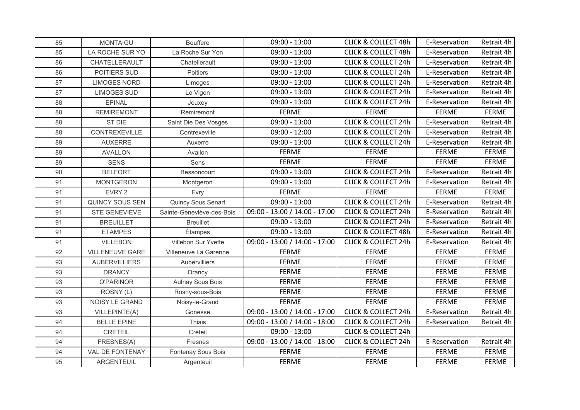| 85 | <b>MONTAIGU</b>        | <b>Bouffere</b>           | $09:00 - 13:00$               | <b>CLICK &amp; COLLECT 48h</b> | E-Reservation | Retrait 4h   |
|----|------------------------|---------------------------|-------------------------------|--------------------------------|---------------|--------------|
| 85 | LA ROCHE SUR YO        | La Roche Sur Yon          | $09:00 - 13:00$               | <b>CLICK &amp; COLLECT 48h</b> | E-Reservation | Retrait 4h   |
| 86 | CHATELLERAULT          | Chatellerault             | $09:00 - 13:00$               | <b>CLICK &amp; COLLECT 24h</b> | E-Reservation | Retrait 4h   |
| 86 | POITIERS SUD           | Poitiers                  | $09:00 - 13:00$               | <b>CLICK &amp; COLLECT 24h</b> | E-Reservation | Retrait 4h   |
| 87 | <b>LIMOGES NORD</b>    | Limoges                   | $09:00 - 13:00$               | <b>CLICK &amp; COLLECT 24h</b> | E-Reservation | Retrait 4h   |
| 87 | <b>LIMOGES SUD</b>     | Le Vigen                  | $09:00 - 13:00$               | <b>CLICK &amp; COLLECT 24h</b> | E-Reservation | Retrait 4h   |
| 88 | <b>EPINAL</b>          | Jeuxey                    | $09:00 - 13:00$               | <b>CLICK &amp; COLLECT 24h</b> | E-Reservation | Retrait 4h   |
| 88 | <b>REMIREMONT</b>      | Remiremont                | <b>FERME</b>                  | <b>FERME</b>                   | <b>FERME</b>  | <b>FERME</b> |
| 88 | ST DIE                 | Saint Die Des Vosges      | $09:00 - 13:00$               | <b>CLICK &amp; COLLECT 24h</b> | E-Reservation | Retrait 4h   |
| 88 | CONTREXEVILLE          | Contrexeville             | $09:00 - 12:00$               | <b>CLICK &amp; COLLECT 24h</b> | E-Reservation | Retrait 4h   |
| 89 | <b>AUXERRE</b>         | Auxerre                   | $09:00 - 13:00$               | <b>CLICK &amp; COLLECT 24h</b> | E-Reservation | Retrait 4h   |
| 89 | <b>AVALLON</b>         | Avallon                   | <b>FERME</b>                  | <b>FERME</b>                   | <b>FERME</b>  | <b>FERME</b> |
| 89 | <b>SENS</b>            | Sens                      | <b>FERME</b>                  | <b>FERME</b>                   | <b>FERME</b>  | <b>FERME</b> |
| 90 | <b>BELFORT</b>         | Bessoncourt               | $09:00 - 13:00$               | <b>CLICK &amp; COLLECT 24h</b> | E-Reservation | Retrait 4h   |
| 91 | <b>MONTGERON</b>       | Montgeron                 | $09:00 - 13:00$               | <b>CLICK &amp; COLLECT 24h</b> | E-Reservation | Retrait 4h   |
| 91 | EVRY 2                 | Evry                      | <b>FERME</b>                  | <b>FERME</b>                   | <b>FERME</b>  | <b>FERME</b> |
| 91 | QUINCY SOUS SEN        | Quincy Sous Senart        | $09:00 - 13:00$               | <b>CLICK &amp; COLLECT 24h</b> | E-Reservation | Retrait 4h   |
| 91 | STE GENEVIEVE          | Sainte-Geneviève-des-Bois | 09:00 - 13:00 / 14:00 - 17:00 | <b>CLICK &amp; COLLECT 24h</b> | E-Reservation | Retrait 4h   |
| 91 | <b>BREUILLET</b>       | <b>Breuillet</b>          | $09:00 - 13:00$               | <b>CLICK &amp; COLLECT 24h</b> | E-Reservation | Retrait 4h   |
| 91 | <b>ETAMPES</b>         | Étampes                   | $09:00 - 13:00$               | <b>CLICK &amp; COLLECT 48h</b> | E-Reservation | Retrait 4h   |
| 91 | <b>VILLEBON</b>        | Villebon Sur Yvette       | 09:00 - 13:00 / 14:00 - 17:00 | <b>CLICK &amp; COLLECT 24h</b> | E-Reservation | Retrait 4h   |
| 92 | <b>VILLENEUVE GARE</b> | Villeneuve La Garenne     | <b>FERME</b>                  | <b>FERME</b>                   | <b>FERME</b>  | <b>FERME</b> |
| 93 | <b>AUBERVILLIERS</b>   | Aubervilliers             | <b>FERME</b>                  | <b>FERME</b>                   | <b>FERME</b>  | <b>FERME</b> |
| 93 | <b>DRANCY</b>          | Drancy                    | <b>FERME</b>                  | <b>FERME</b>                   | <b>FERME</b>  | <b>FERME</b> |
| 93 | <b>O'PARINOR</b>       | Aulnay Sous Bois          | <b>FERME</b>                  | <b>FERME</b>                   | <b>FERME</b>  | <b>FERME</b> |
| 93 | ROSNY (L)              | Rosny-sous-Bois           | <b>FERME</b>                  | <b>FERME</b>                   | <b>FERME</b>  | <b>FERME</b> |
| 93 | NOISY LE GRAND         | Noisy-le-Grand            | <b>FERME</b>                  | <b>FERME</b>                   | <b>FERME</b>  | <b>FERME</b> |
| 93 | VILLEPINTE(A)          | Gonesse                   | 09:00 - 13:00 / 14:00 - 17:00 | <b>CLICK &amp; COLLECT 24h</b> | E-Reservation | Retrait 4h   |
| 94 | <b>BELLE EPINE</b>     | Thiais                    | 09:00 - 13:00 / 14:00 - 18:00 | <b>CLICK &amp; COLLECT 24h</b> | E-Reservation | Retrait 4h   |
| 94 | CRETEIL                | Créteil                   | $09:00 - 13:00$               | <b>CLICK &amp; COLLECT 24h</b> |               |              |
| 94 | FRESNES(A)             | Fresnes                   | 09:00 - 13:00 / 14:00 - 18:00 | <b>CLICK &amp; COLLECT 24h</b> | E-Reservation | Retrait 4h   |
| 94 | <b>VAL DE FONTENAY</b> | Fontenay Sous Bois        | <b>FERME</b>                  | <b>FERME</b>                   | <b>FERME</b>  | <b>FERME</b> |
| 95 | ARGENTEUIL             | Argenteuil                | <b>FERME</b>                  | <b>FERME</b>                   | <b>FERME</b>  | <b>FERME</b> |